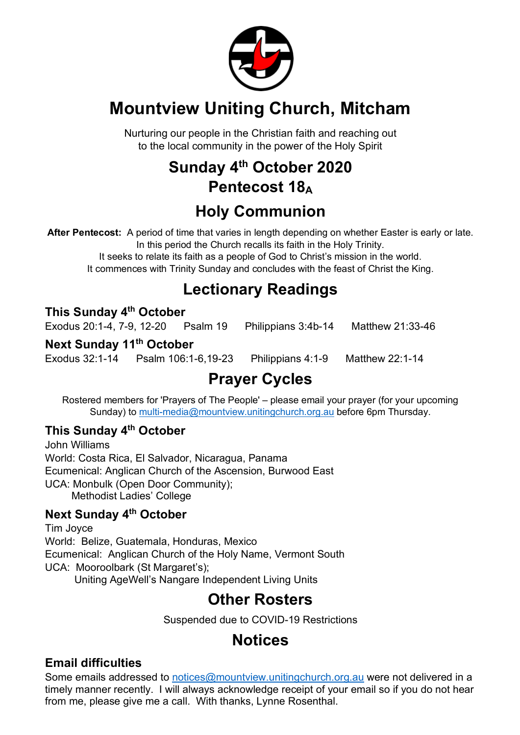

# **Mountview Uniting Church, Mitcham**

Nurturing our people in the Christian faith and reaching out to the local community in the power of the Holy Spirit

## **Sunday 4th October 2020 Pentecost 18A**

# **Holy Communion**

**After Pentecost:** A period of time that varies in length depending on whether Easter is early or late. In this period the Church recalls its faith in the Holy Trinity.

It seeks to relate its faith as a people of God to Christ's mission in the world. It commences with Trinity Sunday and concludes with the feast of Christ the King.

## **Lectionary Readings**

## **This Sunday 4th October**

Exodus 20:1-4, 7-9, 12-20 Psalm 19 Philippians 3:4b-14 Matthew 21:33-46

#### **Next Sunday 11th October**

Exodus 32:1-14 Psalm 106:1-6,19-23 Philippians 4:1-9 Matthew 22:1-14

# **Prayer Cycles**

Rostered members for 'Prayers of The People' – please email your prayer (for your upcoming Sunday) to multi-media@mountview.unitingchurch.org.au before 6pm Thursday.

## **This Sunday 4th October**

John Williams World: Costa Rica, El Salvador, Nicaragua, Panama Ecumenical: Anglican Church of the Ascension, Burwood East UCA: Monbulk (Open Door Community); Methodist Ladies' College

## **Next Sunday 4th October**

Tim Joyce World: Belize, Guatemala, Honduras, Mexico Ecumenical: Anglican Church of the Holy Name, Vermont South UCA: Mooroolbark (St Margaret's); Uniting AgeWell's Nangare Independent Living Units

**Other Rosters**

Suspended due to COVID-19 Restrictions

## **Notices**

## **Email difficulties**

Some emails addressed to notices@mountview.unitingchurch.org.au were not delivered in a timely manner recently. I will always acknowledge receipt of your email so if you do not hear from me, please give me a call. With thanks, Lynne Rosenthal.